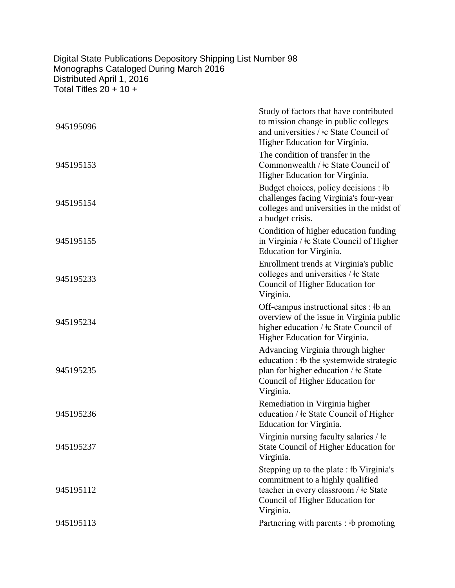## Digital State Publications Depository Shipping List Number 98 Monographs Cataloged During March 2016 Distributed April 1, 2016 Total Titles 20 + 10 +

| 945195096 | Study of factors that have contributed<br>to mission change in public colleges<br>and universities / $\pm c$ State Council of<br>Higher Education for Virginia.        |
|-----------|------------------------------------------------------------------------------------------------------------------------------------------------------------------------|
| 945195153 | The condition of transfer in the<br>Commonwealth / ‡c State Council of<br>Higher Education for Virginia.                                                               |
| 945195154 | Budget choices, policy decisions : #b<br>challenges facing Virginia's four-year<br>colleges and universities in the midst of<br>a budget crisis.                       |
| 945195155 | Condition of higher education funding<br>in Virginia / $\pm c$ State Council of Higher<br>Education for Virginia.                                                      |
| 945195233 | Enrollment trends at Virginia's public<br>colleges and universities / ‡c State<br>Council of Higher Education for<br>Virginia.                                         |
| 945195234 | Off-campus instructional sites : #b an<br>overview of the issue in Virginia public<br>higher education / ‡c State Council of<br>Higher Education for Virginia.         |
| 945195235 | Advancing Virginia through higher<br>education : #b the systemwide strategic<br>plan for higher education $/$ ‡c State<br>Council of Higher Education for<br>Virginia. |
| 945195236 | Remediation in Virginia higher<br>education / $\pm c$ State Council of Higher<br>Education for Virginia.                                                               |
| 945195237 | Virginia nursing faculty salaries / ‡c<br>State Council of Higher Education for<br>Virginia.                                                                           |
| 945195112 | Stepping up to the plate : #b Virginia's<br>commitment to a highly qualified<br>teacher in every classroom / ‡c State<br>Council of Higher Education for<br>Virginia.  |
| 945195113 | Partnering with parents : #b promoting                                                                                                                                 |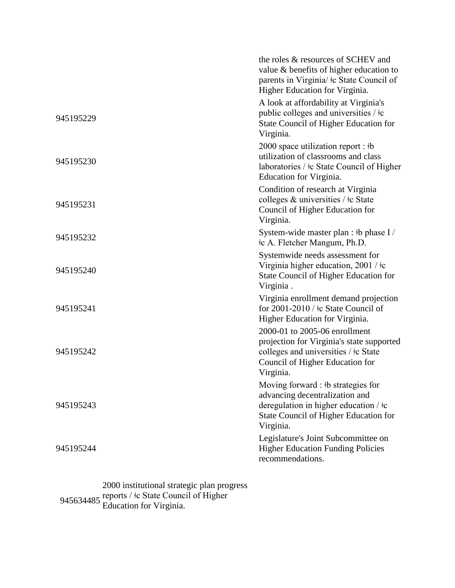|           | the roles & resources of SCHEV and<br>value & benefits of higher education to<br>parents in Virginia/ $\pm c$ State Council of<br>Higher Education for Virginia.                    |
|-----------|-------------------------------------------------------------------------------------------------------------------------------------------------------------------------------------|
| 945195229 | A look at affordability at Virginia's<br>public colleges and universities $/$ $\pm c$<br><b>State Council of Higher Education for</b><br>Virginia.                                  |
| 945195230 | 2000 space utilization report : $\frac{1}{2}$<br>utilization of classrooms and class<br>laboratories / ‡c State Council of Higher<br>Education for Virginia.                        |
| 945195231 | Condition of research at Virginia<br>colleges $\&$ universities / $\&$ State<br>Council of Higher Education for<br>Virginia.                                                        |
| 945195232 | System-wide master plan : #b phase I /<br>‡c A. Fletcher Mangum, Ph.D.                                                                                                              |
| 945195240 | Systemwide needs assessment for<br>Virginia higher education, $2001 / \text{\textdegree}$<br><b>State Council of Higher Education for</b><br>Virginia.                              |
| 945195241 | Virginia enrollment demand projection<br>for 2001-2010 / $\pm c$ State Council of<br>Higher Education for Virginia.                                                                 |
| 945195242 | 2000-01 to 2005-06 enrollment<br>projection for Virginia's state supported<br>colleges and universities / ‡c State<br>Council of Higher Education for<br>Virginia.                  |
| 945195243 | Moving forward : $\frac{1}{2}$ strategies for<br>advancing decentralization and<br>deregulation in higher education / $\pm c$<br>State Council of Higher Education for<br>Virginia. |
| 945195244 | Legislature's Joint Subcommittee on<br><b>Higher Education Funding Policies</b><br>recommendations.                                                                                 |

945634485 2000 institutional strategic plan progress reports / ǂc State Council of Higher Education for Virginia.